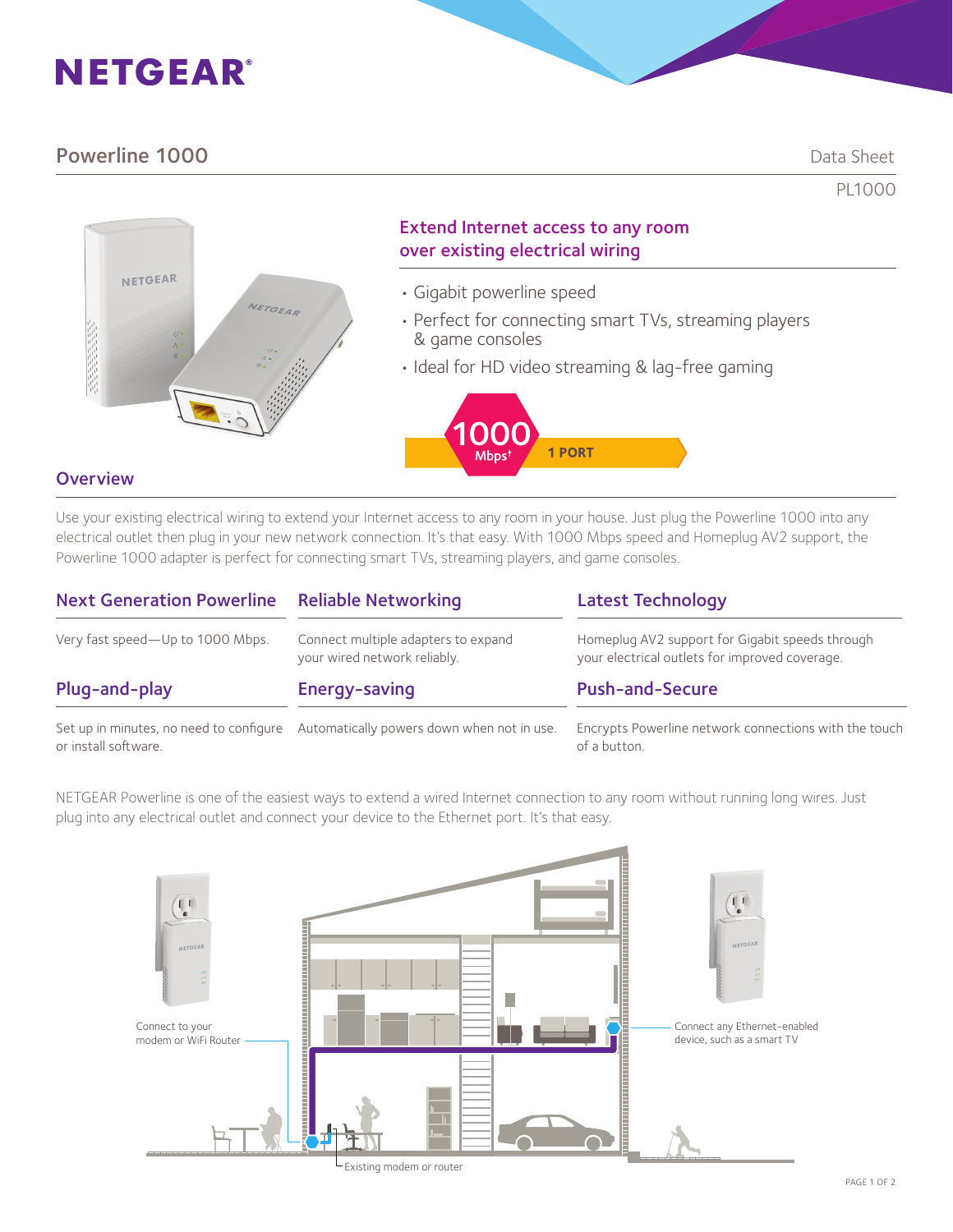# **NETGEAR®**

# **Powerline 1000** Data Sheet

PL1000



## Extend Internet access to any room over existing electrical wiring

- Gigabit powerline speed
- Perfect for connecting smart TVs, streaming players & game consoles
- Ideal for HD video streaming & lag-free gaming



## **Overview**

Use your existing electrical wiring to extend your Internet access to any room in your house. Just plug the Powerline 1000 into any electrical outlet then plug in your new network connection. It's that easy. With 1000 Mbps speed and Homeplug AV2 support, the Powerline 1000 adapter is perfect for connecting smart TVs, streaming players, and game consoles.

| <b>Next Generation Powerline</b> | <b>Reliable Networking</b>                                                         | <b>Latest Technology</b>                                                                          |
|----------------------------------|------------------------------------------------------------------------------------|---------------------------------------------------------------------------------------------------|
| Very fast speed-Up to 1000 Mbps. | Connect multiple adapters to expand<br>your wired network reliably.                | Homeplug AV2 support for Gigabit speeds through<br>your electrical outlets for improved coverage. |
| Plug-and-play                    | Energy-saving                                                                      | <b>Push-and-Secure</b>                                                                            |
| or install software.             | Set up in minutes, no need to configure Automatically powers down when not in use. | Encrypts Powerline network connections with the touch<br>of a button.                             |

NETGEAR Powerline is one of the easiest ways to extend a wired Internet connection to any room without running long wires. Just plug into any electrical outlet and connect your device to the Ethernet port. It's that easy.